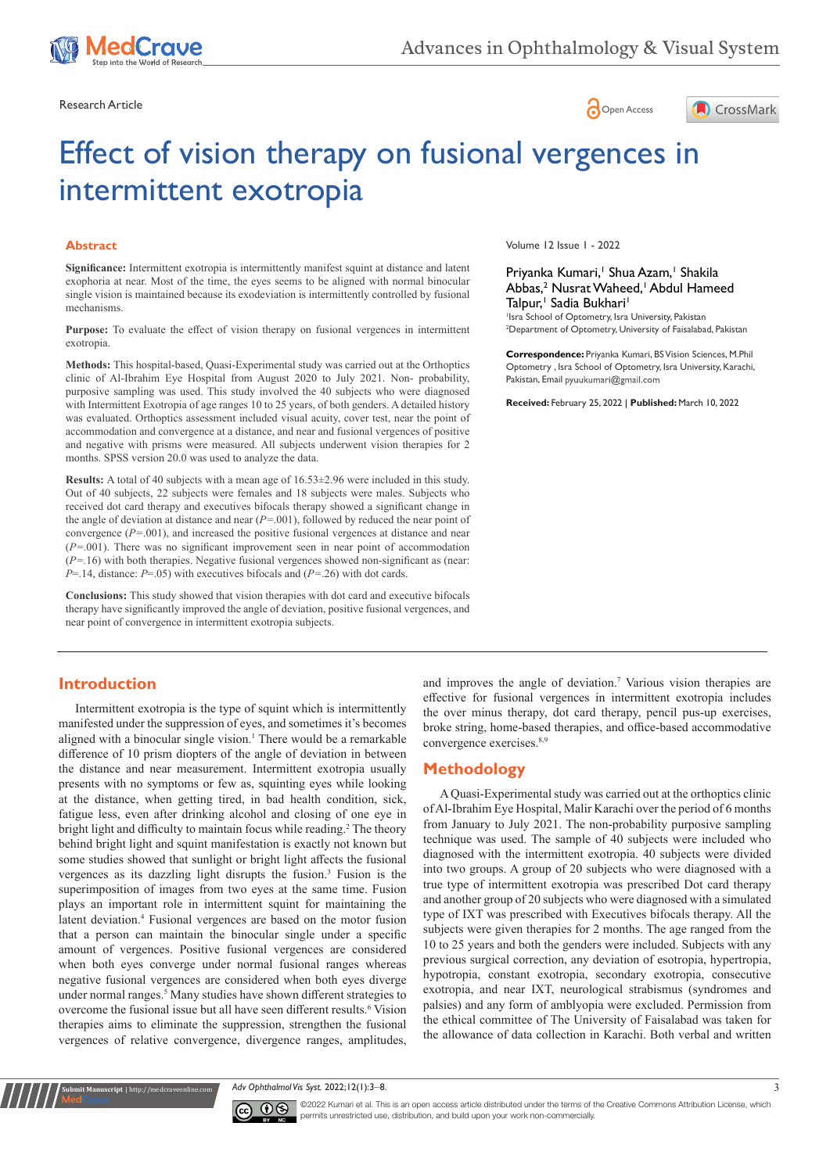

Research Article **Contracts** Contracts and Contracts Contracts Contracts Contracts Contracts Contracts Contracts Contracts Contracts Contracts Contracts Contracts Contracts Contracts Contracts Contracts Contracts Contracts





# Effect of vision therapy on fusional vergences in intermittent exotropia

#### **Abstract**

**Significance:** Intermittent exotropia is intermittently manifest squint at distance and latent exophoria at near. Most of the time, the eyes seems to be aligned with normal binocular single vision is maintained because its exodeviation is intermittently controlled by fusional mechanisms.

**Purpose:** To evaluate the effect of vision therapy on fusional vergences in intermittent exotropia.

**Methods:** This hospital-based, Quasi-Experimental study was carried out at the Orthoptics clinic of Al-Ibrahim Eye Hospital from August 2020 to July 2021. Non- probability, purposive sampling was used. This study involved the 40 subjects who were diagnosed with Intermittent Exotropia of age ranges 10 to 25 years, of both genders. A detailed history was evaluated. Orthoptics assessment included visual acuity, cover test, near the point of accommodation and convergence at a distance, and near and fusional vergences of positive and negative with prisms were measured. All subjects underwent vision therapies for 2 months. SPSS version 20.0 was used to analyze the data.

**Results:** A total of 40 subjects with a mean age of 16.53±2.96 were included in this study. Out of 40 subjects, 22 subjects were females and 18 subjects were males. Subjects who received dot card therapy and executives bifocals therapy showed a significant change in the angle of deviation at distance and near (*P=*.001), followed by reduced the near point of convergence (*P=*.001), and increased the positive fusional vergences at distance and near (*P=*.001). There was no significant improvement seen in near point of accommodation  $(P=16)$  with both therapies. Negative fusional vergences showed non-significant as (near: *P*=.14, distance: *P*=.05) with executives bifocals and (*P=*.26) with dot cards.

**Conclusions:** This study showed that vision therapies with dot card and executive bifocals therapy have significantly improved the angle of deviation, positive fusional vergences, and near point of convergence in intermittent exotropia subjects.

Volume 12 Issue 1 - 2022

Priyanka Kumari,<sup>1</sup> Shua Azam,<sup>1</sup> Shakila Abbas,<sup>2</sup> Nusrat Waheed,<sup>1</sup> Abdul Hameed Talpur,<sup>1</sup> Sadia Bukhari<sup>1</sup>

1 Isra School of Optometry, Isra University, Pakistan <sup>2</sup>Department of Optometry, University of Faisalabad, Pakistan

**Correspondence:** Priyanka Kumari, BS Vision Sciences, M.Phil Optometry , Isra School of Optometry, Isra University, Karachi, Pakistan, Email pyuukumari@gmail.com

**Received:** February 25, 2022 | **Published:** March 10, 2022

#### **Introduction**

**it Manuscript** | http://medcraveonline.

Intermittent exotropia is the type of squint which is intermittently manifested under the suppression of eyes, and sometimes it's becomes aligned with a binocular single vision.<sup>1</sup> There would be a remarkable difference of 10 prism diopters of the angle of deviation in between the distance and near measurement. Intermittent exotropia usually presents with no symptoms or few as, squinting eyes while looking at the distance, when getting tired, in bad health condition, sick, fatigue less, even after drinking alcohol and closing of one eye in bright light and difficulty to maintain focus while reading.<sup>2</sup> The theory behind bright light and squint manifestation is exactly not known but some studies showed that sunlight or bright light affects the fusional vergences as its dazzling light disrupts the fusion.3 Fusion is the superimposition of images from two eyes at the same time. Fusion plays an important role in intermittent squint for maintaining the latent deviation.<sup>4</sup> Fusional vergences are based on the motor fusion that a person can maintain the binocular single under a specific amount of vergences. Positive fusional vergences are considered when both eyes converge under normal fusional ranges whereas negative fusional vergences are considered when both eyes diverge under normal ranges.<sup>5</sup> Many studies have shown different strategies to overcome the fusional issue but all have seen different results.<sup>6</sup> Vision therapies aims to eliminate the suppression, strengthen the fusional vergences of relative convergence, divergence ranges, amplitudes,

and improves the angle of deviation.7 Various vision therapies are effective for fusional vergences in intermittent exotropia includes the over minus therapy, dot card therapy, pencil pus-up exercises, broke string, home-based therapies, and office-based accommodative convergence exercises.<sup>8,9</sup>

#### **Methodology**

A Quasi-Experimental study was carried out at the orthoptics clinic of Al-Ibrahim Eye Hospital, Malir Karachi over the period of 6 months from January to July 2021. The non-probability purposive sampling technique was used. The sample of 40 subjects were included who diagnosed with the intermittent exotropia. 40 subjects were divided into two groups. A group of 20 subjects who were diagnosed with a true type of intermittent exotropia was prescribed Dot card therapy and another group of 20 subjects who were diagnosed with a simulated type of IXT was prescribed with Executives bifocals therapy. All the subjects were given therapies for 2 months. The age ranged from the 10 to 25 years and both the genders were included. Subjects with any previous surgical correction, any deviation of esotropia, hypertropia, hypotropia, constant exotropia, secondary exotropia, consecutive exotropia, and near IXT, neurological strabismus (syndromes and palsies) and any form of amblyopia were excluded. Permission from the ethical committee of The University of Faisalabad was taken for the allowance of data collection in Karachi. Both verbal and written

*Adv Ophthalmol Vis Syst.* 2022;12(1):3‒8. 3



©2022 Kumari et al. This is an open access article distributed under the terms of the [Creative Commons Attribution License,](https://creativecommons.org/licenses/by-nc/4.0/) which permits unrestricted use, distribution, and build upon your work non-commercially.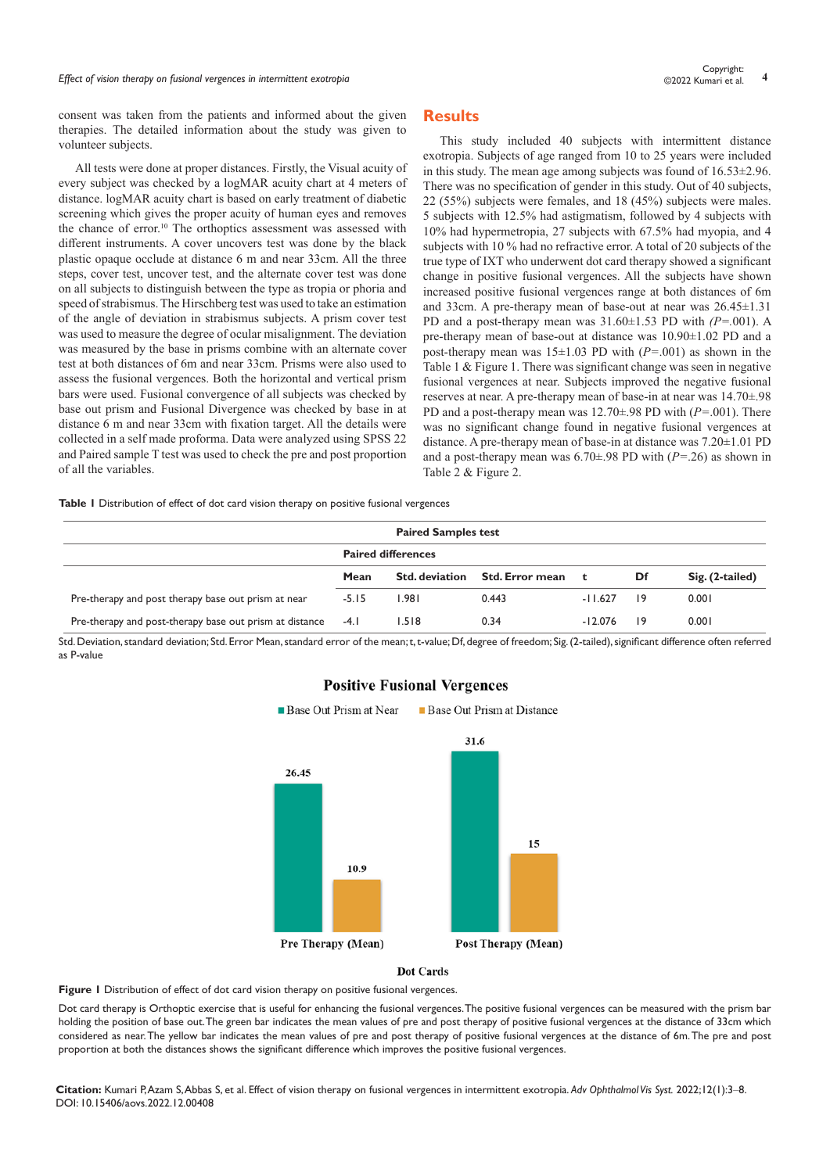# *Effect of vision therapy on fusional vergences in intermittent exotropia* **<sup>4</sup>** Copyright:

consent was taken from the patients and informed about the given therapies. The detailed information about the study was given to volunteer subjects.

All tests were done at proper distances. Firstly, the Visual acuity of every subject was checked by a logMAR acuity chart at 4 meters of distance. logMAR acuity chart is based on early treatment of diabetic screening which gives the proper acuity of human eyes and removes the chance of error.<sup>10</sup> The orthoptics assessment was assessed with different instruments. A cover uncovers test was done by the black plastic opaque occlude at distance 6 m and near 33cm. All the three steps, cover test, uncover test, and the alternate cover test was done on all subjects to distinguish between the type as tropia or phoria and speed of strabismus. The Hirschberg test was used to take an estimation of the angle of deviation in strabismus subjects. A prism cover test was used to measure the degree of ocular misalignment. The deviation was measured by the base in prisms combine with an alternate cover test at both distances of 6m and near 33cm. Prisms were also used to assess the fusional vergences. Both the horizontal and vertical prism bars were used. Fusional convergence of all subjects was checked by base out prism and Fusional Divergence was checked by base in at distance 6 m and near 33cm with fixation target. All the details were collected in a self made proforma. Data were analyzed using SPSS 22 and Paired sample T test was used to check the pre and post proportion of all the variables.

#### **Results**

This study included 40 subjects with intermittent distance exotropia. Subjects of age ranged from 10 to 25 years were included in this study. The mean age among subjects was found of 16.53±2.96. There was no specification of gender in this study. Out of 40 subjects, 22 (55%) subjects were females, and 18 (45%) subjects were males. 5 subjects with 12.5% had astigmatism, followed by 4 subjects with 10% had hypermetropia, 27 subjects with 67.5% had myopia, and 4 subjects with 10 % had no refractive error. A total of 20 subjects of the true type of IXT who underwent dot card therapy showed a significant change in positive fusional vergences. All the subjects have shown increased positive fusional vergences range at both distances of 6m and 33cm. A pre-therapy mean of base-out at near was 26.45±1.31 PD and a post-therapy mean was 31.60±1.53 PD with *(P=.*001). A pre-therapy mean of base-out at distance was 10.90±1.02 PD and a post-therapy mean was 15±1.03 PD with (*P=*.001) as shown in the Table 1 & Figure 1. There was significant change was seen in negative fusional vergences at near. Subjects improved the negative fusional reserves at near. A pre-therapy mean of base-in at near was 14.70±.98 PD and a post-therapy mean was 12.70±.98 PD with (*P=*.001). There was no significant change found in negative fusional vergences at distance. A pre-therapy mean of base-in at distance was 7.20±1.01 PD and a post-therapy mean was 6.70±.98 PD with (*P=*.26) as shown in Table 2 & Figure 2.

**Table 1** Distribution of effect of dot card vision therapy on positive fusional vergences

| <b>Paired Samples test</b>                                   |                           |                       |                        |           |                 |                 |  |  |
|--------------------------------------------------------------|---------------------------|-----------------------|------------------------|-----------|-----------------|-----------------|--|--|
|                                                              | <b>Paired differences</b> |                       |                        |           |                 |                 |  |  |
|                                                              | Mean                      | <b>Std. deviation</b> | <b>Std. Error mean</b> | t         | Df              | Sig. (2-tailed) |  |  |
| Pre-therapy and post therapy base out prism at near          | $-5.15$                   | 1.981                 | 0.443                  | $-11.627$ | $\overline{19}$ | 0.001           |  |  |
| Pre-therapy and post-therapy base out prism at distance -4.1 |                           | 1.518                 | 0.34                   | $-12.076$ | 9               | 0.001           |  |  |

Std. Deviation, standard deviation; Std. Error Mean, standard error of the mean; t, t-value; Df, degree of freedom; Sig. (2-tailed), significant difference often referred as P-value



#### **Positive Fusional Vergences**

**Base Out Prism at Near** 

**Base Out Prism at Distance** 

**Dot Cards** 

Figure 1 Distribution of effect of dot card vision therapy on positive fusional vergences.

Dot card therapy is Orthoptic exercise that is useful for enhancing the fusional vergences. The positive fusional vergences can be measured with the prism bar holding the position of base out. The green bar indicates the mean values of pre and post therapy of positive fusional vergences at the distance of 33cm which considered as near. The yellow bar indicates the mean values of pre and post therapy of positive fusional vergences at the distance of 6m. The pre and post proportion at both the distances shows the significant difference which improves the positive fusional vergences.

**Citation:** Kumari P, Azam S, Abbas S, et al. Effect of vision therapy on fusional vergences in intermittent exotropia. *Adv Ophthalmol Vis Syst.* 2022;12(1):3‒8. DOI: [10.15406/aovs.2022.12.00408](https://doi.org/10.15406/aovs.2022.12.00408)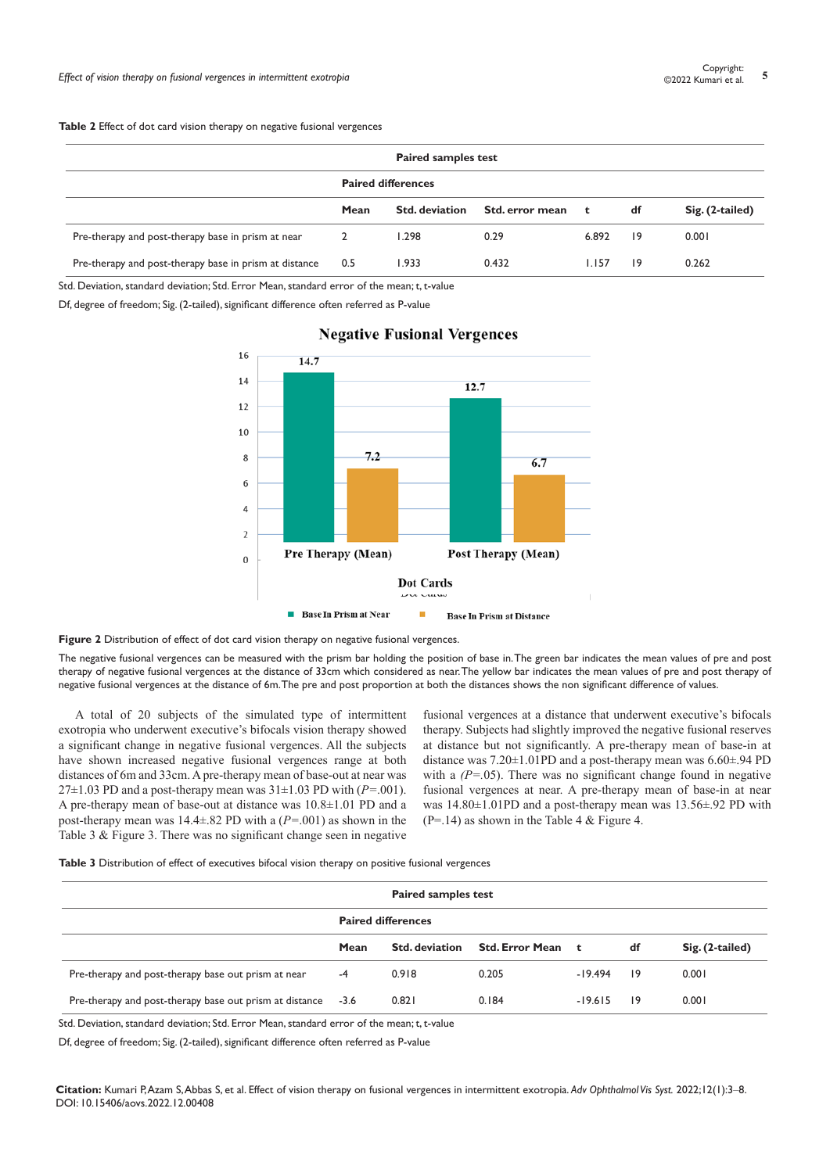| <b>Paired samples test</b>                             |                           |                |                 |              |    |                 |  |
|--------------------------------------------------------|---------------------------|----------------|-----------------|--------------|----|-----------------|--|
|                                                        | <b>Paired differences</b> |                |                 |              |    |                 |  |
|                                                        | Mean                      | Std. deviation | Std. error mean | $\mathbf{t}$ | df | Sig. (2-tailed) |  |
| Pre-therapy and post-therapy base in prism at near     | 2                         | 1.298          | 0.29            | 6.892        | 9  | 0.001           |  |
| Pre-therapy and post-therapy base in prism at distance | 0.5                       | 1.933          | 0.432           | 1.157        | 19 | 0.262           |  |

Std. Deviation, standard deviation; Std. Error Mean, standard error of the mean; t, t-value

Df, degree of freedom; Sig. (2-tailed), significant difference often referred as P-value



## **Negative Fusional Vergences**

Figure 2 Distribution of effect of dot card vision therapy on negative fusional vergences.

The negative fusional vergences can be measured with the prism bar holding the position of base in. The green bar indicates the mean values of pre and post therapy of negative fusional vergences at the distance of 33cm which considered as near. The yellow bar indicates the mean values of pre and post therapy of negative fusional vergences at the distance of 6m. The pre and post proportion at both the distances shows the non significant difference of values.

A total of 20 subjects of the simulated type of intermittent exotropia who underwent executive's bifocals vision therapy showed a significant change in negative fusional vergences. All the subjects have shown increased negative fusional vergences range at both distances of 6m and 33cm. A pre-therapy mean of base-out at near was  $27\pm1.03$  PD and a post-therapy mean was  $31\pm1.03$  PD with ( $P=.001$ ). A pre-therapy mean of base-out at distance was 10.8±1.01 PD and a post-therapy mean was 14.4±.82 PD with a (*P=*.001) as shown in the Table 3 & Figure 3. There was no significant change seen in negative

fusional vergences at a distance that underwent executive's bifocals therapy. Subjects had slightly improved the negative fusional reserves at distance but not significantly. A pre-therapy mean of base-in at distance was 7.20±1.01PD and a post-therapy mean was 6.60±.94 PD with a  $(P=0.05)$ . There was no significant change found in negative fusional vergences at near. A pre-therapy mean of base-in at near was 14.80±1.01PD and a post-therapy mean was 13.56±.92 PD with  $(P=14)$  as shown in the Table 4 & Figure 4.

**Table 3** Distribution of effect of executives bifocal vision therapy on positive fusional vergences

| <b>Paired samples test</b>                              |                           |                       |                   |           |    |                 |  |
|---------------------------------------------------------|---------------------------|-----------------------|-------------------|-----------|----|-----------------|--|
|                                                         | <b>Paired differences</b> |                       |                   |           |    |                 |  |
|                                                         | Mean                      | <b>Std. deviation</b> | Std. Error Mean t |           | df | Sig. (2-tailed) |  |
| Pre-therapy and post-therapy base out prism at near     | $-4$                      | 0.918                 | 0.205             | $-19.494$ | 19 | 0.001           |  |
| Pre-therapy and post-therapy base out prism at distance | $-3.6$                    | 0.821                 | 0.184             | $-19.615$ | 19 | 0.001           |  |

Std. Deviation, standard deviation; Std. Error Mean, standard error of the mean; t, t-value

Df, degree of freedom; Sig. (2-tailed), significant difference often referred as P-value

**Citation:** Kumari P, Azam S, Abbas S, et al. Effect of vision therapy on fusional vergences in intermittent exotropia. *Adv Ophthalmol Vis Syst.* 2022;12(1):3‒8. DOI: [10.15406/aovs.2022.12.00408](https://doi.org/10.15406/aovs.2022.12.00408)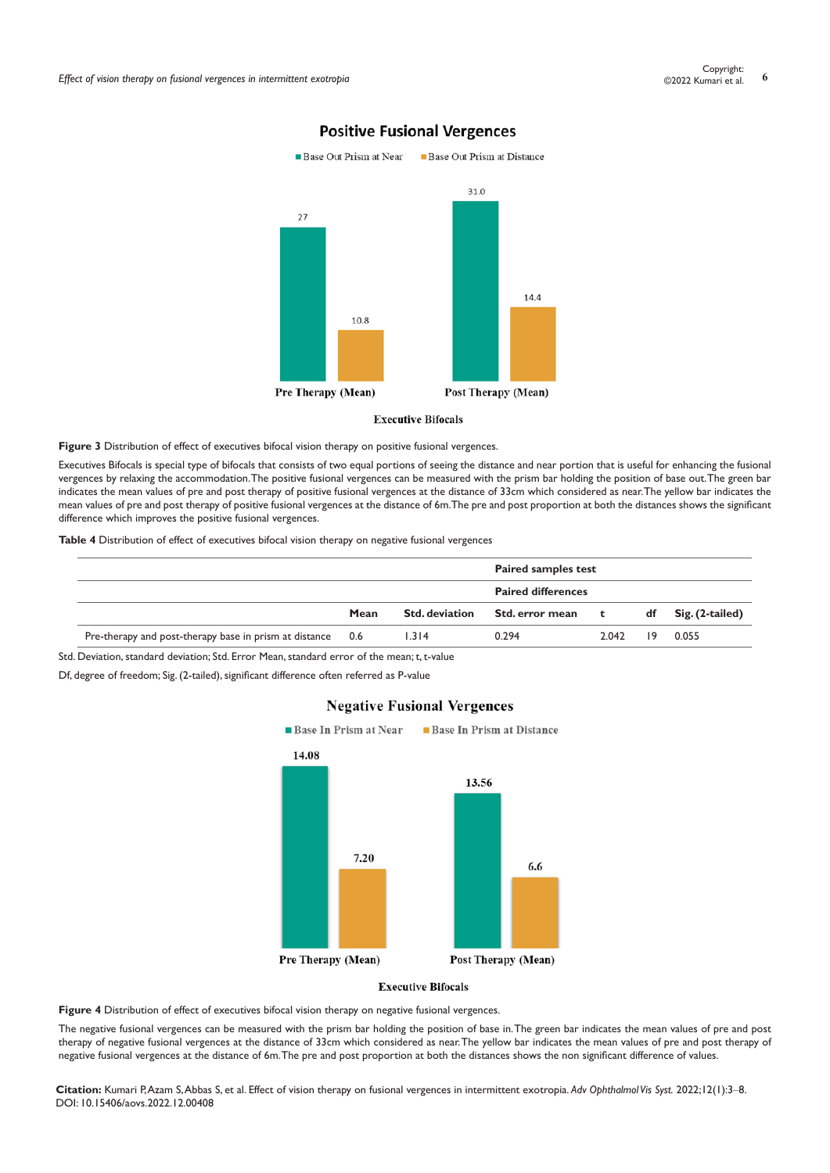

## **Positive Fusional Vergences**

#### **Executive Bifocals**

Figure 3 Distribution of effect of executives bifocal vision therapy on positive fusional vergences.

Executives Bifocals is special type of bifocals that consists of two equal portions of seeing the distance and near portion that is useful for enhancing the fusional vergences by relaxing the accommodation. The positive fusional vergences can be measured with the prism bar holding the position of base out. The green bar indicates the mean values of pre and post therapy of positive fusional vergences at the distance of 33cm which considered as near. The yellow bar indicates the mean values of pre and post therapy of positive fusional vergences at the distance of 6m. The pre and post proportion at both the distances shows the significant difference which improves the positive fusional vergences.

**Table 4** Distribution of effect of executives bifocal vision therapy on negative fusional vergences

|                                                                                             |                       | <b>Paired samples test</b> |       |    |                   |
|---------------------------------------------------------------------------------------------|-----------------------|----------------------------|-------|----|-------------------|
|                                                                                             |                       | <b>Paired differences</b>  |       |    |                   |
| Mean                                                                                        | <b>Std. deviation</b> | Std. error mean            |       | df | $Sig. (2-tailed)$ |
| Pre-therapy and post-therapy base in prism at distance 0.6                                  | 1.314                 | 0.294                      | 2.042 | 19 | 0.055             |
| Std. Deviation, standard deviation; Std. Error Mean, standard error of the mean; t, t-value |                       |                            |       | t. |                   |

Df, degree of freedom; Sig. (2-tailed), significant difference often referred as P-value



#### **Negative Fusional Vergences**

**Executive Bifocals** 

Figure 4 Distribution of effect of executives bifocal vision therapy on negative fusional vergences.

The negative fusional vergences can be measured with the prism bar holding the position of base in. The green bar indicates the mean values of pre and post therapy of negative fusional vergences at the distance of 33cm which considered as near. The yellow bar indicates the mean values of pre and post therapy of negative fusional vergences at the distance of 6m. The pre and post proportion at both the distances shows the non significant difference of values.

**Citation:** Kumari P, Azam S, Abbas S, et al. Effect of vision therapy on fusional vergences in intermittent exotropia. *Adv Ophthalmol Vis Syst.* 2022;12(1):3‒8. DOI: [10.15406/aovs.2022.12.00408](https://doi.org/10.15406/aovs.2022.12.00408)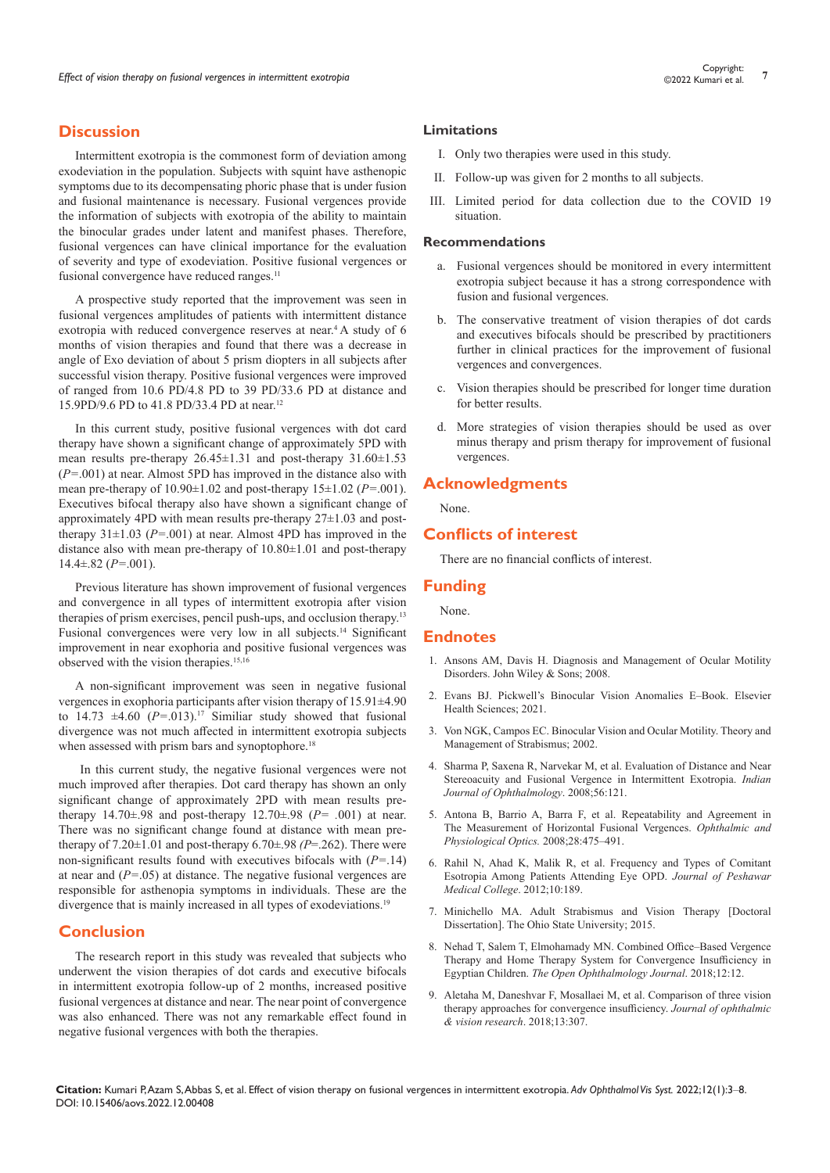### **Discussion**

Intermittent exotropia is the commonest form of deviation among exodeviation in the population. Subjects with squint have asthenopic symptoms due to its decompensating phoric phase that is under fusion and fusional maintenance is necessary. Fusional vergences provide the information of subjects with exotropia of the ability to maintain the binocular grades under latent and manifest phases. Therefore, fusional vergences can have clinical importance for the evaluation of severity and type of exodeviation. Positive fusional vergences or fusional convergence have reduced ranges.<sup>11</sup>

A prospective study reported that the improvement was seen in fusional vergences amplitudes of patients with intermittent distance exotropia with reduced convergence reserves at near.4 A study of 6 months of vision therapies and found that there was a decrease in angle of Exo deviation of about 5 prism diopters in all subjects after successful vision therapy. Positive fusional vergences were improved of ranged from 10.6 PD/4.8 PD to 39 PD/33.6 PD at distance and 15.9PD/9.6 PD to 41.8 PD/33.4 PD at near.<sup>12</sup>

In this current study, positive fusional vergences with dot card therapy have shown a significant change of approximately 5PD with mean results pre-therapy 26.45±1.31 and post-therapy 31.60±1.53 (*P=*.001) at near. Almost 5PD has improved in the distance also with mean pre-therapy of 10.90±1.02 and post-therapy 15±1.02 (*P=*.001). Executives bifocal therapy also have shown a significant change of approximately 4PD with mean results pre-therapy 27±1.03 and posttherapy 31±1.03 (*P=*.001) at near. Almost 4PD has improved in the distance also with mean pre-therapy of 10.80±1.01 and post-therapy 14.4±.82 (*P=*.001).

Previous literature has shown improvement of fusional vergences and convergence in all types of intermittent exotropia after vision therapies of prism exercises, pencil push-ups, and occlusion therapy.13 Fusional convergences were very low in all subjects.<sup>14</sup> Significant improvement in near exophoria and positive fusional vergences was observed with the vision therapies.15,16

A non-significant improvement was seen in negative fusional vergences in exophoria participants after vision therapy of 15.91±4.90 to  $14.73 \pm 4.60$   $(P=0.013)^{17}$  Similiar study showed that fusional divergence was not much affected in intermittent exotropia subjects when assessed with prism bars and synoptophore.<sup>18</sup>

 In this current study, the negative fusional vergences were not much improved after therapies. Dot card therapy has shown an only significant change of approximately 2PD with mean results pretherapy 14.70±.98 and post-therapy 12.70±.98 (*P= .*001) at near. There was no significant change found at distance with mean pretherapy of  $7.20 \pm 1.01$  and post-therapy  $6.70 \pm .98$  *(P=.262)*. There were non-significant results found with executives bifocals with (*P=*.14) at near and (*P=*.05) at distance. The negative fusional vergences are responsible for asthenopia symptoms in individuals. These are the divergence that is mainly increased in all types of exodeviations.<sup>19</sup>

#### **Conclusion**

The research report in this study was revealed that subjects who underwent the vision therapies of dot cards and executive bifocals in intermittent exotropia follow-up of 2 months, increased positive fusional vergences at distance and near. The near point of convergence was also enhanced. There was not any remarkable effect found in negative fusional vergences with both the therapies.

#### **Limitations**

- I. Only two therapies were used in this study.
- II. Follow-up was given for 2 months to all subjects.
- III. Limited period for data collection due to the COVID 19 situation.

#### **Recommendations**

- a. Fusional vergences should be monitored in every intermittent exotropia subject because it has a strong correspondence with fusion and fusional vergences.
- b. The conservative treatment of vision therapies of dot cards and executives bifocals should be prescribed by practitioners further in clinical practices for the improvement of fusional vergences and convergences.
- c. Vision therapies should be prescribed for longer time duration for better results.
- d. More strategies of vision therapies should be used as over minus therapy and prism therapy for improvement of fusional vergences.

#### **Acknowledgments**

None.

#### **Conflicts of interest**

There are no financial conflicts of interest.

#### **Funding**

None.

#### **Endnotes**

- 1. [Ansons AM, Davis H. Diagnosis and Management of Ocular Motility](https://onlinelibrary.wiley.com/doi/book/10.1002/9781118712368)  [Disorders. John Wiley & Sons; 2008.](https://onlinelibrary.wiley.com/doi/book/10.1002/9781118712368)
- 2. [Evans BJ. Pickwell's Binocular Vision Anomalies E–Book. Elsevier](https://www.elsevier.com/books/pickwells-binocular-vision-anomalies/evans/978-0-323-73317-5)  [Health Sciences; 2021.](https://www.elsevier.com/books/pickwells-binocular-vision-anomalies/evans/978-0-323-73317-5)
- 3. [Von NGK, Campos EC. Binocular Vision and Ocular Motility. Theory and](https://www.aao.org/assets/0c711d7f-503f-4cd9-b4ac-92d6ec31a718/636343503854270000/strabismus-binocular-vision-and-ocular-motility-vnoorden-pdf?inline=1)  [Management of Strabismus; 2002.](https://www.aao.org/assets/0c711d7f-503f-4cd9-b4ac-92d6ec31a718/636343503854270000/strabismus-binocular-vision-and-ocular-motility-vnoorden-pdf?inline=1)
- 4. [Sharma P, Saxena R, Narvekar M, et al. Evaluation of Distance and Near](https://pubmed.ncbi.nlm.nih.gov/18292622/)  [Stereoacuity and Fusional Vergence in Intermittent Exotropia.](https://pubmed.ncbi.nlm.nih.gov/18292622/) *Indian [Journal of Ophthalmology](https://pubmed.ncbi.nlm.nih.gov/18292622/)*. 2008;56:121.
- 5. [Antona B, Barrio A, Barra F, et al. Repeatability and Agreement in](https://pubmed.ncbi.nlm.nih.gov/18761485/)  [The Measurement of Horizontal Fusional Vergences.](https://pubmed.ncbi.nlm.nih.gov/18761485/) *Ophthalmic and [Physiological Optics.](https://pubmed.ncbi.nlm.nih.gov/18761485/)* 2008;28:475–491.
- 6. Rahil N, Ahad K, Malik R, et al. Frequency and Types of Comitant Esotropia Among Patients Attending Eye OPD. *Journal of Peshawar Medical College*. 2012;10:189.
- 7. Minichello MA. [Adult Strabismus and Vision Therapy](https://etd.ohiolink.edu/apexprod/rws_etd/send_file/send?accession=osu1429747867&disposition=inline) [Doctoral [Dissertation\]. The Ohio State University; 2015.](https://etd.ohiolink.edu/apexprod/rws_etd/send_file/send?accession=osu1429747867&disposition=inline)
- 8. [Nehad T, Salem T, Elmohamady MN. Combined Office–Based Vergence](https://pubmed.ncbi.nlm.nih.gov/29541278/)  [Therapy and Home Therapy System for Convergence Insufficiency in](https://pubmed.ncbi.nlm.nih.gov/29541278/)  Egyptian Children. *[The Open Ophthalmology Journal](https://pubmed.ncbi.nlm.nih.gov/29541278/)*. 2018;12:12.
- 9. [Aletaha M, Daneshvar F, Mosallaei M, et al. Comparison of three vision](https://pubmed.ncbi.nlm.nih.gov/30090188/)  [therapy approaches for convergence insufficiency.](https://pubmed.ncbi.nlm.nih.gov/30090188/) *Journal of ophthalmic [& vision research](https://pubmed.ncbi.nlm.nih.gov/30090188/)*. 2018;13:307.